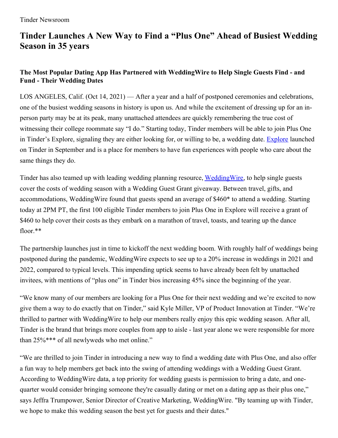# **Tinder Launches A New Way to Find a "Plus One" Ahead of Busiest Wedding Season in 35 years**

## **The Most Popular Dating App Has Partnered with WeddingWire to Help Single Guests Find - and Fund - Their Wedding Dates**

LOS ANGELES, Calif. (Oct 14, 2021) — After a year and a half of postponed ceremonies and celebrations, one of the busiest wedding seasons in history is upon us. And while the excitement of dressing up for an inperson party may be at its peak, many unattached attendees are quickly remembering the true cost of witnessing their college roommate say "I do." Starting today, Tinder members will be able to join Plus One in Tinder's Explore, signaling they are either looking for, or willing to be, a wedding date. [Explore](https://www.tinderpressroom.com/2021-09-08-Tinder-Opens-This-Falls-Hottest-New-Venue-Tinder-Explore) launched on Tinder in September and is a place for members to have fun experiences with people who care about the same things they do.

Tinder has also teamed up with leading wedding planning resource, Wedding Wire, to help single guests cover the costs of wedding season with a Wedding Guest Grant giveaway. Between travel, gifts, and accommodations, WeddingWire found that guests spend an average of \$460\* to attend a wedding. Starting today at 2PM PT, the first 100 eligible Tinder members to join Plus One in Explore will receive a grant of \$460 to help cover their costs as they embark on a marathon of travel, toasts, and tearing up the dance floor.\*\*

The partnership launches just in time to kickoff the next wedding boom. With roughly half of weddings being postponed during the pandemic, WeddingWire expects to see up to a 20% increase in weddings in 2021 and 2022, compared to typical levels. This impending uptick seems to have already been felt by unattached invitees, with mentions of "plus one" in Tinder bios increasing 45% since the beginning of the year.

"We know many of our members are looking for a Plus One for their next wedding and we're excited to now give them a way to do exactly that on Tinder," said Kyle Miller, VP of Product Innovation at Tinder. "We're thrilled to partner with WeddingWire to help our members really enjoy this epic wedding season. After all, Tinder is the brand that brings more couples from app to aisle - last year alone we were responsible for more than 25%\*\*\* of all newlyweds who met online."

"We are thrilled to join Tinder in introducing a new way to find a wedding date with Plus One, and also offer a fun way to help members get back into the swing of attending weddings with a Wedding Guest Grant. According to WeddingWire data, a top priority for wedding guests is permission to bring a date, and onequarter would consider bringing someone they're casually dating or met on a dating app as their plus one," says Jeffra Trumpower, Senior Director of Creative Marketing, WeddingWire. "By teaming up with Tinder, we hope to make this wedding season the best yet for guests and their dates."